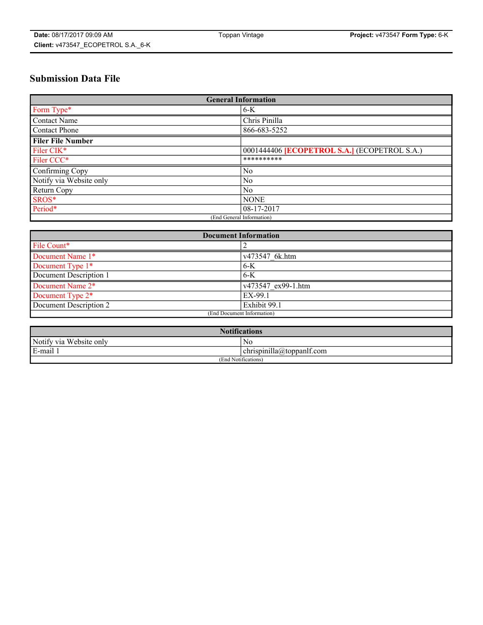# **Submission Data File**

| <b>General Information</b> |                                                     |
|----------------------------|-----------------------------------------------------|
| Form Type*                 | $6-K$                                               |
| Contact Name               | Chris Pinilla                                       |
| Contact Phone              | 866-683-5252                                        |
| <b>Filer File Number</b>   |                                                     |
| Filer CIK*                 | 0001444406 <b>[ECOPETROL S.A.]</b> (ECOPETROL S.A.) |
| Filer CCC*                 | **********                                          |
| Confirming Copy            | $\overline{N_0}$                                    |
| Notify via Website only    | No                                                  |
| Return Copy                | $\overline{N_0}$                                    |
| SROS*                      | <b>NONE</b>                                         |
| Period*                    | $ 08-17-2017$                                       |
| (End General Information)  |                                                     |

| <b>Document Information</b> |                    |
|-----------------------------|--------------------|
| File Count*                 |                    |
| Document Name 1*            | v473547 6k.htm     |
| Document Type 1*            | $6-K$              |
| Document Description 1      | $6-K$              |
| Document Name 2*            | v473547 ex99-1.htm |
| Document Type 2*            | EX-99.1            |
| Document Description 2      | Exhibit 99.1       |
| (End Document Information)  |                    |

| <b>Notifications</b>    |                                                      |
|-------------------------|------------------------------------------------------|
| Notify via Website only | N0                                                   |
| E-mail 1                | <br>$\epsilon$ chrispinilla( <i>a</i> ) to point com |
| (End Notifications)     |                                                      |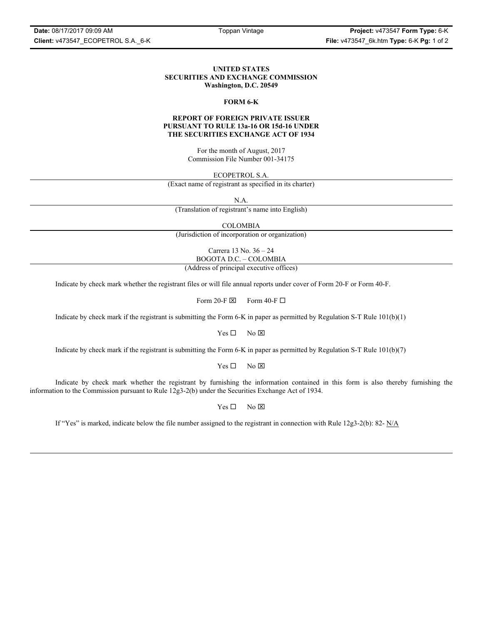## **UNITED STATES SECURITIES AND EXCHANGE COMMISSION Washington, D.C. 20549**

### **FORM 6-K**

## **REPORT OF FOREIGN PRIVATE ISSUER PURSUANT TO RULE 13a-16 OR 15d-16 UNDER THE SECURITIES EXCHANGE ACT OF 1934**

For the month of August, 2017 Commission File Number 001-34175

ECOPETROL S.A.

(Exact name of registrant as specified in its charter)

N.A.

(Translation of registrant's name into English)

COLOMBIA

(Jurisdiction of incorporation or organization)

Carrera 13 No. 36 – 24 BOGOTA D.C. – COLOMBIA

(Address of principal executive offices)

Indicate by check mark whether the registrant files or will file annual reports under cover of Form 20-F or Form 40-F.

Form 20-F  $\boxtimes$  Form 40-F  $\Box$ 

Indicate by check mark if the registrant is submitting the Form 6-K in paper as permitted by Regulation S-T Rule 101(b)(1)

 $Yes \Box$  No  $\boxtimes$ 

Indicate by check mark if the registrant is submitting the Form 6-K in paper as permitted by Regulation S-T Rule 101(b)(7)

 $Yes \Box$  No  $\boxtimes$ 

Indicate by check mark whether the registrant by furnishing the information contained in this form is also thereby furnishing the information to the Commission pursuant to Rule 12g3-2(b) under the Securities Exchange Act of 1934.

 $Yes \Box$  No  $\boxtimes$ 

If "Yes" is marked, indicate below the file number assigned to the registrant in connection with Rule 12g3-2(b): 82- N/A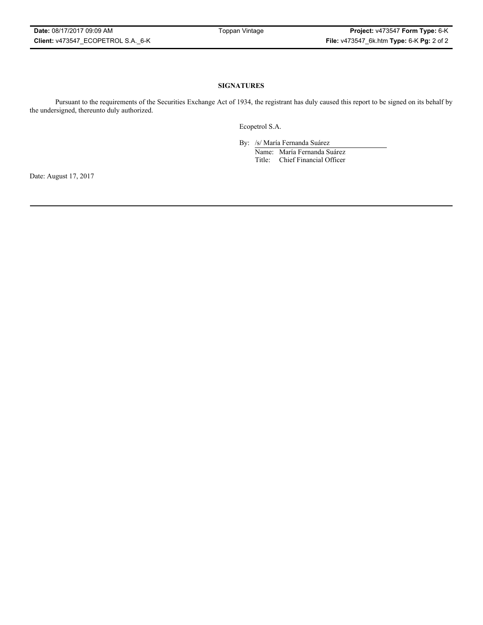## **SIGNATURES**

Pursuant to the requirements of the Securities Exchange Act of 1934, the registrant has duly caused this report to be signed on its behalf by the undersigned, thereunto duly authorized.

Ecopetrol S.A.

By: /s/ María Fernanda Suárez Name: María Fernanda Suárez Title: Chief Financial Officer

Date: August 17, 2017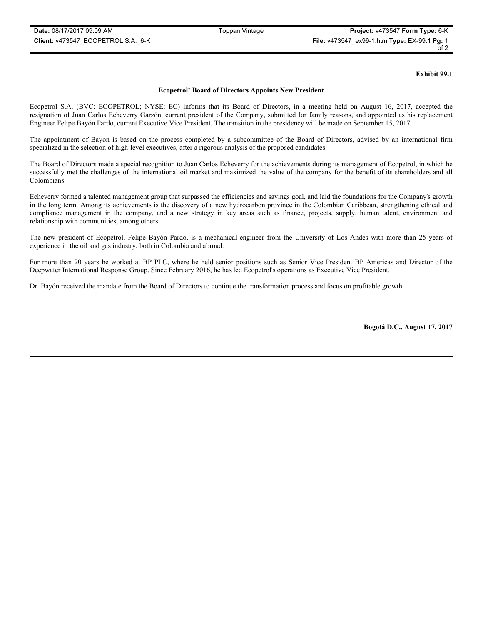## **Exhibit 99.1**

### **Ecopetrol' Board of Directors Appoints New President**

Ecopetrol S.A. (BVC: ECOPETROL; NYSE: EC) informs that its Board of Directors, in a meeting held on August 16, 2017, accepted the resignation of Juan Carlos Echeverry Garzón, current president of the Company, submitted for family reasons, and appointed as his replacement Engineer Felipe Bayón Pardo, current Executive Vice President. The transition in the presidency will be made on September 15, 2017.

The appointment of Bayon is based on the process completed by a subcommittee of the Board of Directors, advised by an international firm specialized in the selection of high-level executives, after a rigorous analysis of the proposed candidates.

The Board of Directors made a special recognition to Juan Carlos Echeverry for the achievements during its management of Ecopetrol, in which he successfully met the challenges of the international oil market and maximized the value of the company for the benefit of its shareholders and all Colombians.

Echeverry formed a talented management group that surpassed the efficiencies and savings goal, and laid the foundations for the Company's growth in the long term. Among its achievements is the discovery of a new hydrocarbon province in the Colombian Caribbean, strengthening ethical and compliance management in the company, and a new strategy in key areas such as finance, projects, supply, human talent, environment and relationship with communities, among others.

The new president of Ecopetrol, Felipe Bayón Pardo, is a mechanical engineer from the University of Los Andes with more than 25 years of experience in the oil and gas industry, both in Colombia and abroad.

For more than 20 years he worked at BP PLC, where he held senior positions such as Senior Vice President BP Americas and Director of the Deepwater International Response Group. Since February 2016, he has led Ecopetrol's operations as Executive Vice President.

Dr. Bayón received the mandate from the Board of Directors to continue the transformation process and focus on profitable growth.

**Bogotá D.C., August 17, 2017**